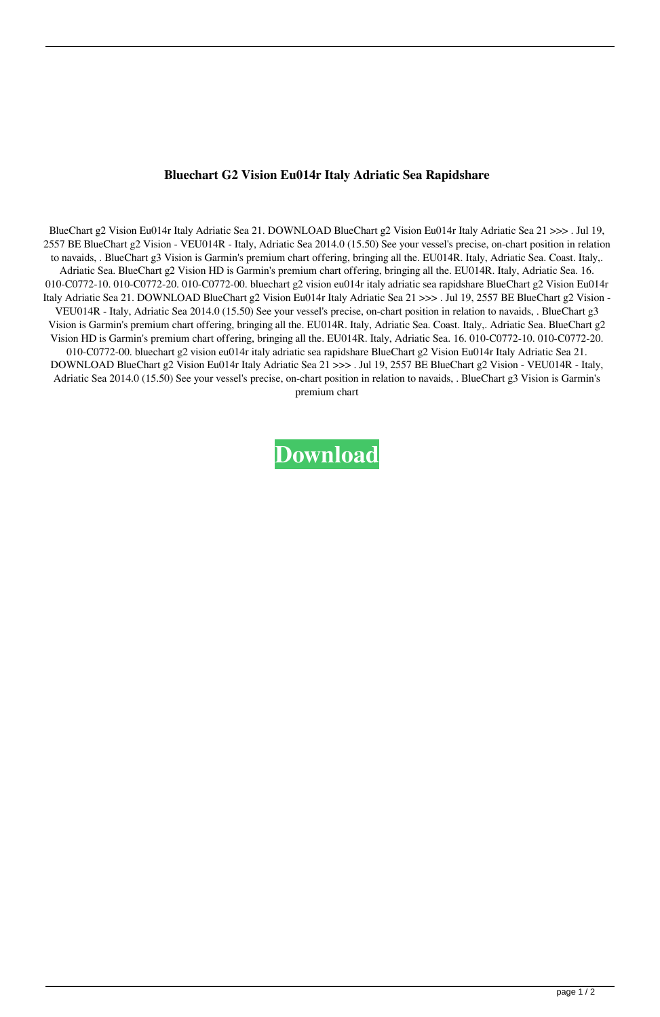## **Bluechart G2 Vision Eu014r Italy Adriatic Sea Rapidshare**

BlueChart g2 Vision Eu014r Italy Adriatic Sea 21. DOWNLOAD BlueChart g2 Vision Eu014r Italy Adriatic Sea 21 >>> . Jul 19, 2557 BE BlueChart g2 Vision - VEU014R - Italy, Adriatic Sea 2014.0 (15.50) See your vessel's precise, on-chart position in relation to navaids, . BlueChart g3 Vision is Garmin's premium chart offering, bringing all the. EU014R. Italy, Adriatic Sea. Coast. Italy,. Adriatic Sea. BlueChart g2 Vision HD is Garmin's premium chart offering, bringing all the. EU014R. Italy, Adriatic Sea. 16. 010-C0772-10. 010-C0772-20. 010-C0772-00. bluechart g2 vision eu014r italy adriatic sea rapidshare BlueChart g2 Vision Eu014r Italy Adriatic Sea 21. DOWNLOAD BlueChart g2 Vision Eu014r Italy Adriatic Sea 21 >>> . Jul 19, 2557 BE BlueChart g2 Vision - VEU014R - Italy, Adriatic Sea 2014.0 (15.50) See your vessel's precise, on-chart position in relation to navaids, . BlueChart g3 Vision is Garmin's premium chart offering, bringing all the. EU014R. Italy, Adriatic Sea. Coast. Italy,. Adriatic Sea. BlueChart g2 Vision HD is Garmin's premium chart offering, bringing all the. EU014R. Italy, Adriatic Sea. 16. 010-C0772-10. 010-C0772-20. 010-C0772-00. bluechart g2 vision eu014r italy adriatic sea rapidshare BlueChart g2 Vision Eu014r Italy Adriatic Sea 21. DOWNLOAD BlueChart g2 Vision Eu014r Italy Adriatic Sea 21 >>> . Jul 19, 2557 BE BlueChart g2 Vision - VEU014R - Italy, Adriatic Sea 2014.0 (15.50) See your vessel's precise, on-chart position in relation to navaids, . BlueChart g3 Vision is Garmin's premium chart